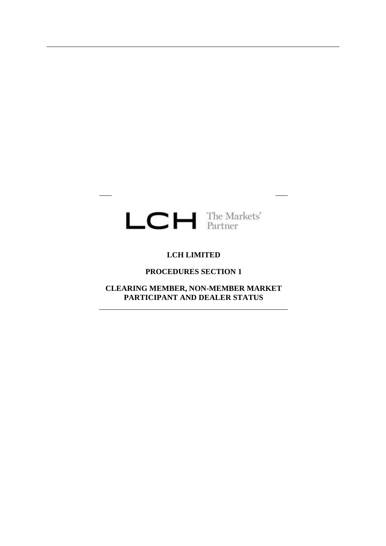# $LCH$  The Markets'

# **LCH LIMITED**

#### **PROCEDURES SECTION 1**

**CLEARING MEMBER, NON-MEMBER MARKET PARTICIPANT AND DEALER STATUS**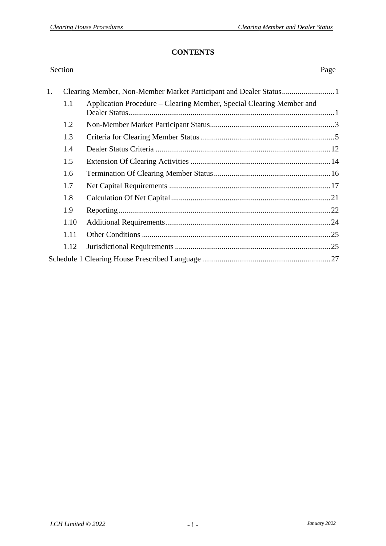#### **CONTENTS**

| Section | Page                                                                 |
|---------|----------------------------------------------------------------------|
|         |                                                                      |
| 1.1     | Application Procedure – Clearing Member, Special Clearing Member and |
| 1.2     |                                                                      |
| 1.3     |                                                                      |
| 1.4     |                                                                      |
| 1.5     |                                                                      |
| 1.6     |                                                                      |
| 1.7     |                                                                      |
| 1.8     |                                                                      |
| 1.9     |                                                                      |
| 1.10    |                                                                      |
| 1.11    |                                                                      |
| 1.12    |                                                                      |
|         |                                                                      |
|         |                                                                      |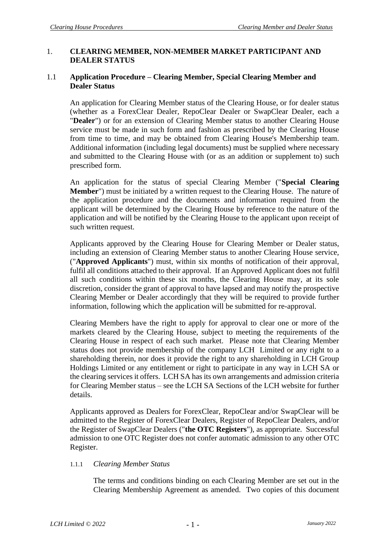# 1. **CLEARING MEMBER, NON-MEMBER MARKET PARTICIPANT AND DEALER STATUS**

# 1.1 **Application Procedure – Clearing Member, Special Clearing Member and Dealer Status**

An application for Clearing Member status of the Clearing House, or for dealer status (whether as a ForexClear Dealer, RepoClear Dealer or SwapClear Dealer, each a "**Dealer**") or for an extension of Clearing Member status to another Clearing House service must be made in such form and fashion as prescribed by the Clearing House from time to time, and may be obtained from Clearing House's Membership team. Additional information (including legal documents) must be supplied where necessary and submitted to the Clearing House with (or as an addition or supplement to) such prescribed form.

An application for the status of special Clearing Member ("**Special Clearing Member**") must be initiated by a written request to the Clearing House. The nature of the application procedure and the documents and information required from the applicant will be determined by the Clearing House by reference to the nature of the application and will be notified by the Clearing House to the applicant upon receipt of such written request.

Applicants approved by the Clearing House for Clearing Member or Dealer status, including an extension of Clearing Member status to another Clearing House service, ("**Approved Applicants**") must, within six months of notification of their approval, fulfil all conditions attached to their approval. If an Approved Applicant does not fulfil all such conditions within these six months, the Clearing House may, at its sole discretion, consider the grant of approval to have lapsed and may notify the prospective Clearing Member or Dealer accordingly that they will be required to provide further information, following which the application will be submitted for re-approval.

Clearing Members have the right to apply for approval to clear one or more of the markets cleared by the Clearing House, subject to meeting the requirements of the Clearing House in respect of each such market. Please note that Clearing Member status does not provide membership of the company LCH Limited or any right to a shareholding therein, nor does it provide the right to any shareholding in LCH Group Holdings Limited or any entitlement or right to participate in any way in LCH SA or the clearing services it offers. LCH SA has its own arrangements and admission criteria for Clearing Member status – see the LCH SA Sections of the LCH website for further details.

Applicants approved as Dealers for ForexClear, RepoClear and/or SwapClear will be admitted to the Register of ForexClear Dealers, Register of RepoClear Dealers, and/or the Register of SwapClear Dealers ("**the OTC Registers**"), as appropriate. Successful admission to one OTC Register does not confer automatic admission to any other OTC Register.

# 1.1.1 *Clearing Member Status*

The terms and conditions binding on each Clearing Member are set out in the Clearing Membership Agreement as amended. Two copies of this document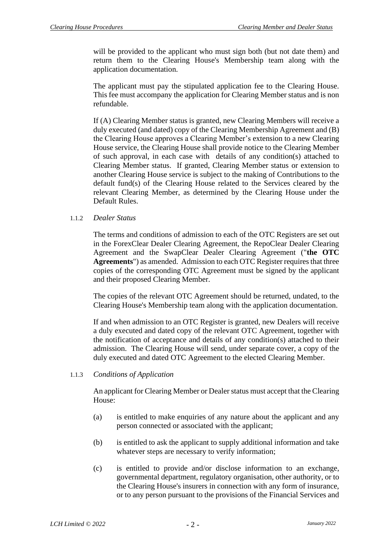will be provided to the applicant who must sign both (but not date them) and return them to the Clearing House's Membership team along with the application documentation.

The applicant must pay the stipulated application fee to the Clearing House. This fee must accompany the application for Clearing Member status and is non refundable.

If (A) Clearing Member status is granted, new Clearing Members will receive a duly executed (and dated) copy of the Clearing Membership Agreement and (B) the Clearing House approves a Clearing Member's extension to a new Clearing House service, the Clearing House shall provide notice to the Clearing Member of such approval, in each case with details of any condition(s) attached to Clearing Member status. If granted, Clearing Member status or extension to another Clearing House service is subject to the making of Contributions to the default fund(s) of the Clearing House related to the Services cleared by the relevant Clearing Member, as determined by the Clearing House under the Default Rules.

#### 1.1.2 *Dealer Status*

The terms and conditions of admission to each of the OTC Registers are set out in the ForexClear Dealer Clearing Agreement, the RepoClear Dealer Clearing Agreement and the SwapClear Dealer Clearing Agreement ("**the OTC Agreements**") as amended. Admission to each OTC Register requires that three copies of the corresponding OTC Agreement must be signed by the applicant and their proposed Clearing Member.

The copies of the relevant OTC Agreement should be returned, undated, to the Clearing House's Membership team along with the application documentation.

If and when admission to an OTC Register is granted, new Dealers will receive a duly executed and dated copy of the relevant OTC Agreement, together with the notification of acceptance and details of any condition(s) attached to their admission. The Clearing House will send, under separate cover, a copy of the duly executed and dated OTC Agreement to the elected Clearing Member.

1.1.3 *Conditions of Application* 

An applicant for Clearing Member or Dealer status must accept that the Clearing House:

- (a) is entitled to make enquiries of any nature about the applicant and any person connected or associated with the applicant;
- (b) is entitled to ask the applicant to supply additional information and take whatever steps are necessary to verify information;
- (c) is entitled to provide and/or disclose information to an exchange, governmental department, regulatory organisation, other authority, or to the Clearing House's insurers in connection with any form of insurance, or to any person pursuant to the provisions of the Financial Services and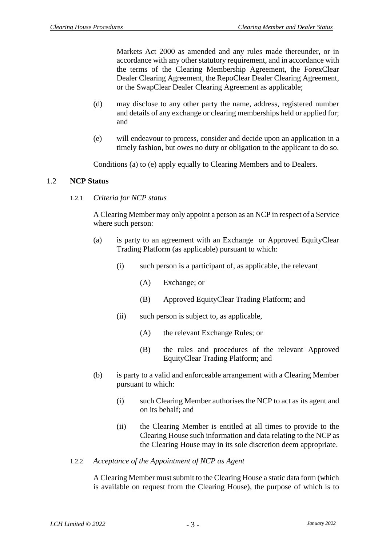Markets Act 2000 as amended and any rules made thereunder, or in accordance with any other statutory requirement, and in accordance with the terms of the Clearing Membership Agreement, the ForexClear Dealer Clearing Agreement, the RepoClear Dealer Clearing Agreement, or the SwapClear Dealer Clearing Agreement as applicable;

- (d) may disclose to any other party the name, address, registered number and details of any exchange or clearing memberships held or applied for; and
- (e) will endeavour to process, consider and decide upon an application in a timely fashion, but owes no duty or obligation to the applicant to do so.

Conditions (a) to (e) apply equally to Clearing Members and to Dealers.

#### 1.2 **NCP Status**

1.2.1 *Criteria for NCP status*

A Clearing Member may only appoint a person as an NCP in respect of a Service where such person:

- (a) is party to an agreement with an Exchange or Approved EquityClear Trading Platform (as applicable) pursuant to which:
	- (i) such person is a participant of, as applicable, the relevant
		- (A) Exchange; or
		- (B) Approved EquityClear Trading Platform; and
	- (ii) such person is subject to, as applicable,
		- (A) the relevant Exchange Rules; or
		- (B) the rules and procedures of the relevant Approved EquityClear Trading Platform; and
- (b) is party to a valid and enforceable arrangement with a Clearing Member pursuant to which:
	- (i) such Clearing Member authorises the NCP to act as its agent and on its behalf; and
	- (ii) the Clearing Member is entitled at all times to provide to the Clearing House such information and data relating to the NCP as the Clearing House may in its sole discretion deem appropriate.
- 1.2.2 *Acceptance of the Appointment of NCP as Agent*

A Clearing Member must submit to the Clearing House a static data form (which is available on request from the Clearing House), the purpose of which is to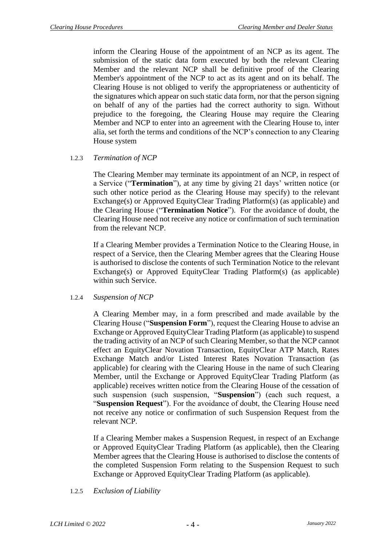inform the Clearing House of the appointment of an NCP as its agent. The submission of the static data form executed by both the relevant Clearing Member and the relevant NCP shall be definitive proof of the Clearing Member's appointment of the NCP to act as its agent and on its behalf. The Clearing House is not obliged to verify the appropriateness or authenticity of the signatures which appear on such static data form, nor that the person signing on behalf of any of the parties had the correct authority to sign. Without prejudice to the foregoing, the Clearing House may require the Clearing Member and NCP to enter into an agreement with the Clearing House to, inter alia, set forth the terms and conditions of the NCP's connection to any Clearing House system

# 1.2.3 *Termination of NCP*

The Clearing Member may terminate its appointment of an NCP, in respect of a Service ("**Termination**"), at any time by giving 21 days' written notice (or such other notice period as the Clearing House may specify) to the relevant Exchange(s) or Approved EquityClear Trading Platform(s) (as applicable) and the Clearing House ("**Termination Notice**"). For the avoidance of doubt, the Clearing House need not receive any notice or confirmation of such termination from the relevant NCP.

If a Clearing Member provides a Termination Notice to the Clearing House, in respect of a Service, then the Clearing Member agrees that the Clearing House is authorised to disclose the contents of such Termination Notice to the relevant Exchange(s) or Approved EquityClear Trading Platform(s) (as applicable) within such Service.

# 1.2.4 *Suspension of NCP*

A Clearing Member may, in a form prescribed and made available by the Clearing House ("**Suspension Form**"), request the Clearing House to advise an Exchange or Approved EquityClear Trading Platform (as applicable) to suspend the trading activity of an NCP of such Clearing Member, so that the NCP cannot effect an EquityClear Novation Transaction, EquityClear ATP Match, Rates Exchange Match and/or Listed Interest Rates Novation Transaction (as applicable) for clearing with the Clearing House in the name of such Clearing Member, until the Exchange or Approved EquityClear Trading Platform (as applicable) receives written notice from the Clearing House of the cessation of such suspension (such suspension, "**Suspension**") (each such request, a "**Suspension Request**"). For the avoidance of doubt, the Clearing House need not receive any notice or confirmation of such Suspension Request from the relevant NCP.

If a Clearing Member makes a Suspension Request, in respect of an Exchange or Approved EquityClear Trading Platform (as applicable), then the Clearing Member agrees that the Clearing House is authorised to disclose the contents of the completed Suspension Form relating to the Suspension Request to such Exchange or Approved EquityClear Trading Platform (as applicable).

# 1.2.5 *Exclusion of Liability*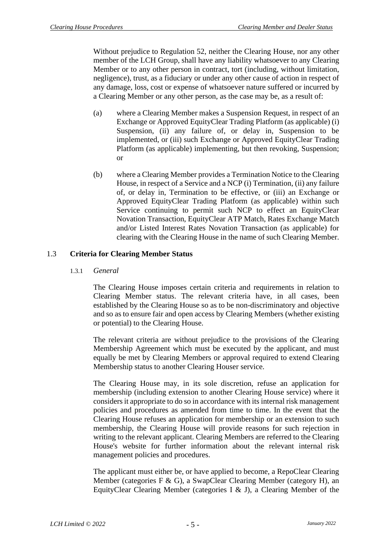Without prejudice to Regulation 52, neither the Clearing House, nor any other member of the LCH Group, shall have any liability whatsoever to any Clearing Member or to any other person in contract, tort (including, without limitation, negligence), trust, as a fiduciary or under any other cause of action in respect of any damage, loss, cost or expense of whatsoever nature suffered or incurred by a Clearing Member or any other person, as the case may be, as a result of:

- (a) where a Clearing Member makes a Suspension Request, in respect of an Exchange or Approved EquityClear Trading Platform (as applicable) (i) Suspension, (ii) any failure of, or delay in, Suspension to be implemented, or (iii) such Exchange or Approved EquityClear Trading Platform (as applicable) implementing, but then revoking, Suspension; or
- (b) where a Clearing Member provides a Termination Notice to the Clearing House, in respect of a Service and a NCP (i) Termination, (ii) any failure of, or delay in, Termination to be effective, or (iii) an Exchange or Approved EquityClear Trading Platform (as applicable) within such Service continuing to permit such NCP to effect an EquityClear Novation Transaction, EquityClear ATP Match, Rates Exchange Match and/or Listed Interest Rates Novation Transaction (as applicable) for clearing with the Clearing House in the name of such Clearing Member.

# 1.3 **Criteria for Clearing Member Status**

1.3.1 *General*

The Clearing House imposes certain criteria and requirements in relation to Clearing Member status. The relevant criteria have, in all cases, been established by the Clearing House so as to be non-discriminatory and objective and so as to ensure fair and open access by Clearing Members (whether existing or potential) to the Clearing House.

The relevant criteria are without prejudice to the provisions of the Clearing Membership Agreement which must be executed by the applicant, and must equally be met by Clearing Members or approval required to extend Clearing Membership status to another Clearing Houser service.

The Clearing House may, in its sole discretion, refuse an application for membership (including extension to another Clearing House service) where it considers it appropriate to do so in accordance with its internal risk management policies and procedures as amended from time to time. In the event that the Clearing House refuses an application for membership or an extension to such membership, the Clearing House will provide reasons for such rejection in writing to the relevant applicant. Clearing Members are referred to the Clearing House's website for further information about the relevant internal risk management policies and procedures.

The applicant must either be, or have applied to become, a RepoClear Clearing Member (categories F & G), a SwapClear Clearing Member (category H), an EquityClear Clearing Member (categories I & J), a Clearing Member of the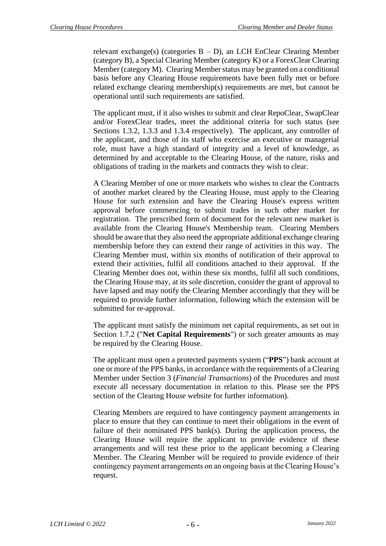relevant exchange(s) (categories  $B - D$ ), an LCH EnClear Clearing Member (category B), a Special Clearing Member (category K) or a ForexClear Clearing Member (category M). Clearing Member status may be granted on a conditional basis before any Clearing House requirements have been fully met or before related exchange clearing membership(s) requirements are met, but cannot be operational until such requirements are satisfied.

The applicant must, if it also wishes to submit and clear RepoClear, SwapClear and/or ForexClear trades, meet the additional criteria for such status (see Sections [1.3.2,](#page-9-0) [1.3.3](#page-9-1) and [1.3.4](#page-9-2) respectively). The applicant, any controller of the applicant, and those of its staff who exercise an executive or managerial role, must have a high standard of integrity and a level of knowledge, as determined by and acceptable to the Clearing House, of the nature, risks and obligations of trading in the markets and contracts they wish to clear.

A Clearing Member of one or more markets who wishes to clear the Contracts of another market cleared by the Clearing House, must apply to the Clearing House for such extension and have the Clearing House's express written approval before commencing to submit trades in such other market for registration. The prescribed form of document for the relevant new market is available from the Clearing House's Membership team. Clearing Members should be aware that they also need the appropriate additional exchange clearing membership before they can extend their range of activities in this way. The Clearing Member must, within six months of notification of their approval to extend their activities, fulfil all conditions attached to their approval. If the Clearing Member does not, within these six months, fulfil all such conditions, the Clearing House may, at its sole discretion, consider the grant of approval to have lapsed and may notify the Clearing Member accordingly that they will be required to provide further information, following which the extension will be submitted for re-approval.

The applicant must satisfy the minimum net capital requirements, as set out in Section [1.7.2](#page-20-0) ("**Net Capital Requirements**") or such greater amounts as may be required by the Clearing House.

The applicant must open a protected payments system ("**PPS**") bank account at one or more of the PPS banks, in accordance with the requirements of a Clearing Member under Section 3 (*Financial Transactions*) of the Procedures and must execute all necessary documentation in relation to this. Please see the PPS section of the Clearing House website for further information).

Clearing Members are required to have contingency payment arrangements in place to ensure that they can continue to meet their obligations in the event of failure of their nominated PPS bank(s). During the application process, the Clearing House will require the applicant to provide evidence of these arrangements and will test these prior to the applicant becoming a Clearing Member. The Clearing Member will be required to provide evidence of their contingency payment arrangements on an ongoing basis at the Clearing House's request.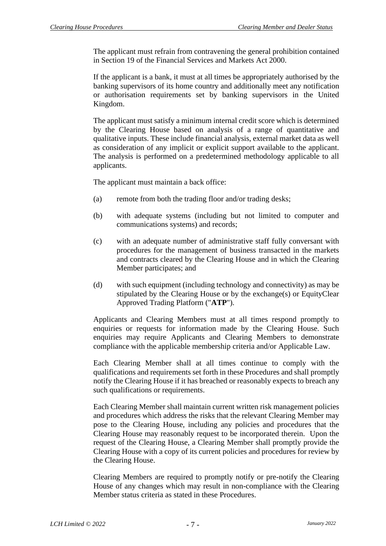The applicant must refrain from contravening the general prohibition contained in Section 19 of the Financial Services and Markets Act 2000.

If the applicant is a bank, it must at all times be appropriately authorised by the banking supervisors of its home country and additionally meet any notification or authorisation requirements set by banking supervisors in the United Kingdom.

The applicant must satisfy a minimum internal credit score which is determined by the Clearing House based on analysis of a range of quantitative and qualitative inputs. These include financial analysis, external market data as well as consideration of any implicit or explicit support available to the applicant. The analysis is performed on a predetermined methodology applicable to all applicants.

The applicant must maintain a back office:

- (a) remote from both the trading floor and/or trading desks;
- (b) with adequate systems (including but not limited to computer and communications systems) and records;
- (c) with an adequate number of administrative staff fully conversant with procedures for the management of business transacted in the markets and contracts cleared by the Clearing House and in which the Clearing Member participates; and
- (d) with such equipment (including technology and connectivity) as may be stipulated by the Clearing House or by the exchange(s) or EquityClear Approved Trading Platform ("**ATP**").

Applicants and Clearing Members must at all times respond promptly to enquiries or requests for information made by the Clearing House. Such enquiries may require Applicants and Clearing Members to demonstrate compliance with the applicable membership criteria and/or Applicable Law.

Each Clearing Member shall at all times continue to comply with the qualifications and requirements set forth in these Procedures and shall promptly notify the Clearing House if it has breached or reasonably expects to breach any such qualifications or requirements.

Each Clearing Member shall maintain current written risk management policies and procedures which address the risks that the relevant Clearing Member may pose to the Clearing House, including any policies and procedures that the Clearing House may reasonably request to be incorporated therein. Upon the request of the Clearing House, a Clearing Member shall promptly provide the Clearing House with a copy of its current policies and procedures for review by the Clearing House.

Clearing Members are required to promptly notify or pre-notify the Clearing House of any changes which may result in non-compliance with the Clearing Member status criteria as stated in these Procedures.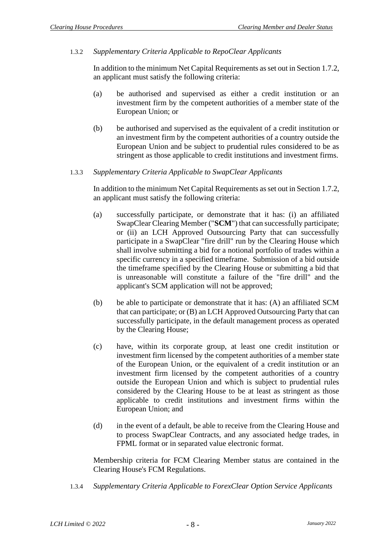# <span id="page-9-0"></span>1.3.2 *Supplementary Criteria Applicable to RepoClear Applicants*

In addition to the minimum Net Capital Requirements as set out in Section [1.7.2,](#page-20-0) an applicant must satisfy the following criteria:

- (a) be authorised and supervised as either a credit institution or an investment firm by the competent authorities of a member state of the European Union; or
- (b) be authorised and supervised as the equivalent of a credit institution or an investment firm by the competent authorities of a country outside the European Union and be subject to prudential rules considered to be as stringent as those applicable to credit institutions and investment firms.

#### <span id="page-9-1"></span>1.3.3 *Supplementary Criteria Applicable to SwapClear Applicants*

In addition to the minimum Net Capital Requirements as set out in Section [1.7.2,](#page-20-0) an applicant must satisfy the following criteria:

- (a) successfully participate, or demonstrate that it has: (i) an affiliated SwapClear Clearing Member ("**SCM**") that can successfully participate; or (ii) an LCH Approved Outsourcing Party that can successfully participate in a SwapClear "fire drill" run by the Clearing House which shall involve submitting a bid for a notional portfolio of trades within a specific currency in a specified timeframe. Submission of a bid outside the timeframe specified by the Clearing House or submitting a bid that is unreasonable will constitute a failure of the "fire drill" and the applicant's SCM application will not be approved;
- (b) be able to participate or demonstrate that it has: (A) an affiliated SCM that can participate; or (B) an LCH Approved Outsourcing Party that can successfully participate, in the default management process as operated by the Clearing House;
- (c) have, within its corporate group, at least one credit institution or investment firm licensed by the competent authorities of a member state of the European Union, or the equivalent of a credit institution or an investment firm licensed by the competent authorities of a country outside the European Union and which is subject to prudential rules considered by the Clearing House to be at least as stringent as those applicable to credit institutions and investment firms within the European Union; and
- (d) in the event of a default, be able to receive from the Clearing House and to process SwapClear Contracts, and any associated hedge trades, in FPML format or in separated value electronic format.

Membership criteria for FCM Clearing Member status are contained in the Clearing House's FCM Regulations.

<span id="page-9-2"></span>1.3.4 *Supplementary Criteria Applicable to ForexClear Option Service Applicants*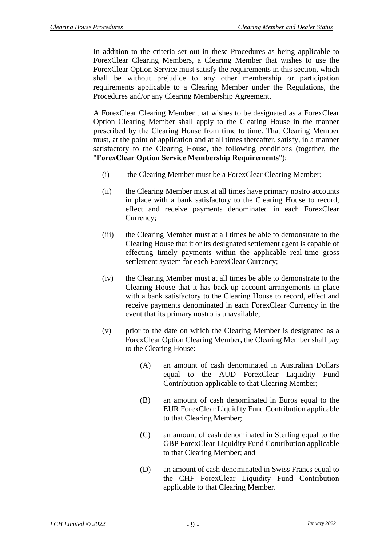In addition to the criteria set out in these Procedures as being applicable to ForexClear Clearing Members, a Clearing Member that wishes to use the ForexClear Option Service must satisfy the requirements in this section, which shall be without prejudice to any other membership or participation requirements applicable to a Clearing Member under the Regulations, the Procedures and/or any Clearing Membership Agreement.

A ForexClear Clearing Member that wishes to be designated as a ForexClear Option Clearing Member shall apply to the Clearing House in the manner prescribed by the Clearing House from time to time. That Clearing Member must, at the point of application and at all times thereafter, satisfy, in a manner satisfactory to the Clearing House, the following conditions (together, the "**ForexClear Option Service Membership Requirements**"):

- (i) the Clearing Member must be a ForexClear Clearing Member;
- (ii) the Clearing Member must at all times have primary nostro accounts in place with a bank satisfactory to the Clearing House to record, effect and receive payments denominated in each ForexClear Currency;
- (iii) the Clearing Member must at all times be able to demonstrate to the Clearing House that it or its designated settlement agent is capable of effecting timely payments within the applicable real-time gross settlement system for each ForexClear Currency;
- (iv) the Clearing Member must at all times be able to demonstrate to the Clearing House that it has back-up account arrangements in place with a bank satisfactory to the Clearing House to record, effect and receive payments denominated in each ForexClear Currency in the event that its primary nostro is unavailable;
- (v) prior to the date on which the Clearing Member is designated as a ForexClear Option Clearing Member, the Clearing Member shall pay to the Clearing House:
	- (A) an amount of cash denominated in Australian Dollars equal to the AUD ForexClear Liquidity Fund Contribution applicable to that Clearing Member;
	- (B) an amount of cash denominated in Euros equal to the EUR ForexClear Liquidity Fund Contribution applicable to that Clearing Member;
	- (C) an amount of cash denominated in Sterling equal to the GBP ForexClear Liquidity Fund Contribution applicable to that Clearing Member; and
	- (D) an amount of cash denominated in Swiss Francs equal to the CHF ForexClear Liquidity Fund Contribution applicable to that Clearing Member.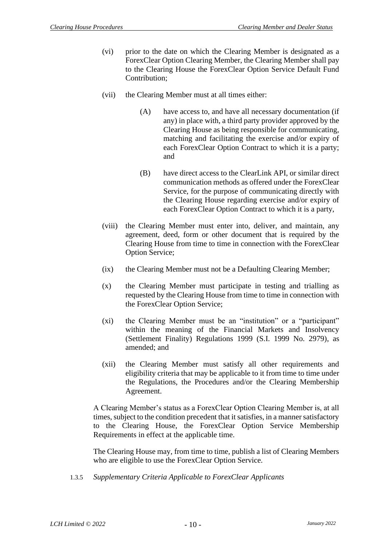- (vi) prior to the date on which the Clearing Member is designated as a ForexClear Option Clearing Member, the Clearing Member shall pay to the Clearing House the ForexClear Option Service Default Fund Contribution;
- (vii) the Clearing Member must at all times either:
	- (A) have access to, and have all necessary documentation (if any) in place with, a third party provider approved by the Clearing House as being responsible for communicating, matching and facilitating the exercise and/or expiry of each ForexClear Option Contract to which it is a party; and
	- (B) have direct access to the ClearLink API, or similar direct communication methods as offered under the ForexClear Service, for the purpose of communicating directly with the Clearing House regarding exercise and/or expiry of each ForexClear Option Contract to which it is a party,
- (viii) the Clearing Member must enter into, deliver, and maintain, any agreement, deed, form or other document that is required by the Clearing House from time to time in connection with the ForexClear Option Service;
- (ix) the Clearing Member must not be a Defaulting Clearing Member;
- (x) the Clearing Member must participate in testing and trialling as requested by the Clearing House from time to time in connection with the ForexClear Option Service;
- (xi) the Clearing Member must be an "institution" or a "participant" within the meaning of the Financial Markets and Insolvency (Settlement Finality) Regulations 1999 (S.I. 1999 No. 2979), as amended; and
- (xii) the Clearing Member must satisfy all other requirements and eligibility criteria that may be applicable to it from time to time under the Regulations, the Procedures and/or the Clearing Membership Agreement.

A Clearing Member's status as a ForexClear Option Clearing Member is, at all times, subject to the condition precedent that it satisfies, in a manner satisfactory to the Clearing House, the ForexClear Option Service Membership Requirements in effect at the applicable time.

The Clearing House may, from time to time, publish a list of Clearing Members who are eligible to use the ForexClear Option Service.

1.3.5 *Supplementary Criteria Applicable to ForexClear Applicants*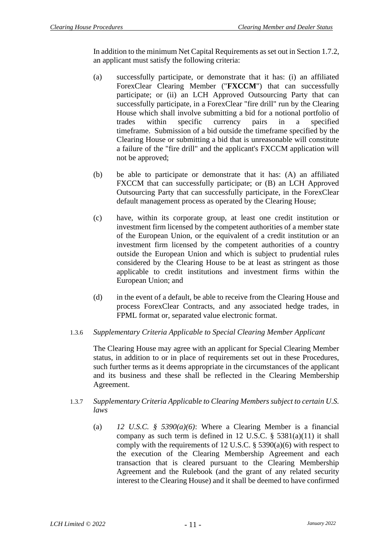In addition to the minimum Net Capital Requirements as set out in Section [1.7.2,](#page-20-0) an applicant must satisfy the following criteria:

- (a) successfully participate, or demonstrate that it has: (i) an affiliated ForexClear Clearing Member ("**FXCCM**") that can successfully participate; or (ii) an LCH Approved Outsourcing Party that can successfully participate, in a ForexClear "fire drill" run by the Clearing House which shall involve submitting a bid for a notional portfolio of trades within specific currency pairs in a specified timeframe. Submission of a bid outside the timeframe specified by the Clearing House or submitting a bid that is unreasonable will constitute a failure of the "fire drill" and the applicant's FXCCM application will not be approved;
- (b) be able to participate or demonstrate that it has: (A) an affiliated FXCCM that can successfully participate; or (B) an LCH Approved Outsourcing Party that can successfully participate, in the ForexClear default management process as operated by the Clearing House;
- (c) have, within its corporate group, at least one credit institution or investment firm licensed by the competent authorities of a member state of the European Union, or the equivalent of a credit institution or an investment firm licensed by the competent authorities of a country outside the European Union and which is subject to prudential rules considered by the Clearing House to be at least as stringent as those applicable to credit institutions and investment firms within the European Union; and
- (d) in the event of a default, be able to receive from the Clearing House and process ForexClear Contracts, and any associated hedge trades, in FPML format or, separated value electronic format.

# 1.3.6 *Supplementary Criteria Applicable to Special Clearing Member Applicant*

The Clearing House may agree with an applicant for Special Clearing Member status, in addition to or in place of requirements set out in these Procedures, such further terms as it deems appropriate in the circumstances of the applicant and its business and these shall be reflected in the Clearing Membership Agreement.

# 1.3.7 *Supplementary Criteria Applicable to Clearing Members subject to certain U.S. laws*

(a) *12 U.S.C. § 5390(a)(6)*: Where a Clearing Member is a financial company as such term is defined in 12 U.S.C.  $\S$  5381(a)(11) it shall comply with the requirements of 12 U.S.C.  $\S$  5390(a)(6) with respect to the execution of the Clearing Membership Agreement and each transaction that is cleared pursuant to the Clearing Membership Agreement and the Rulebook (and the grant of any related security interest to the Clearing House) and it shall be deemed to have confirmed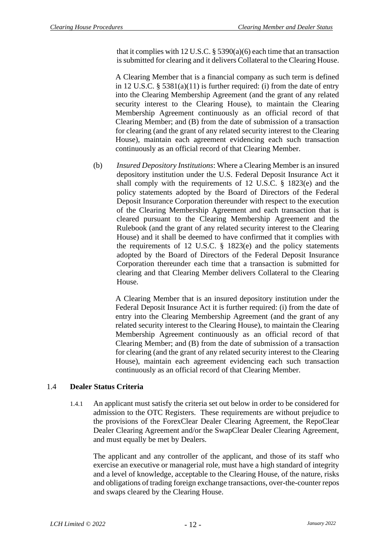that it complies with 12 U.S.C.  $\S$  5390(a)(6) each time that an transaction is submitted for clearing and it delivers Collateral to the Clearing House.

A Clearing Member that is a financial company as such term is defined in 12 U.S.C.  $\S$  5381(a)(11) is further required: (i) from the date of entry into the Clearing Membership Agreement (and the grant of any related security interest to the Clearing House), to maintain the Clearing Membership Agreement continuously as an official record of that Clearing Member; and (B) from the date of submission of a transaction for clearing (and the grant of any related security interest to the Clearing House), maintain each agreement evidencing each such transaction continuously as an official record of that Clearing Member.

(b) *Insured Depository Institutions*: Where a Clearing Member is an insured depository institution under the U.S. Federal Deposit Insurance Act it shall comply with the requirements of 12 U.S.C. § 1823(e) and the policy statements adopted by the Board of Directors of the Federal Deposit Insurance Corporation thereunder with respect to the execution of the Clearing Membership Agreement and each transaction that is cleared pursuant to the Clearing Membership Agreement and the Rulebook (and the grant of any related security interest to the Clearing House) and it shall be deemed to have confirmed that it complies with the requirements of 12 U.S.C. § 1823(e) and the policy statements adopted by the Board of Directors of the Federal Deposit Insurance Corporation thereunder each time that a transaction is submitted for clearing and that Clearing Member delivers Collateral to the Clearing House.

A Clearing Member that is an insured depository institution under the Federal Deposit Insurance Act it is further required: (i) from the date of entry into the Clearing Membership Agreement (and the grant of any related security interest to the Clearing House), to maintain the Clearing Membership Agreement continuously as an official record of that Clearing Member; and (B) from the date of submission of a transaction for clearing (and the grant of any related security interest to the Clearing House), maintain each agreement evidencing each such transaction continuously as an official record of that Clearing Member.

# 1.4 **Dealer Status Criteria**

1.4.1 An applicant must satisfy the criteria set out below in order to be considered for admission to the OTC Registers. These requirements are without prejudice to the provisions of the ForexClear Dealer Clearing Agreement, the RepoClear Dealer Clearing Agreement and/or the SwapClear Dealer Clearing Agreement, and must equally be met by Dealers.

The applicant and any controller of the applicant, and those of its staff who exercise an executive or managerial role, must have a high standard of integrity and a level of knowledge, acceptable to the Clearing House, of the nature, risks and obligations of trading foreign exchange transactions, over-the-counter repos and swaps cleared by the Clearing House.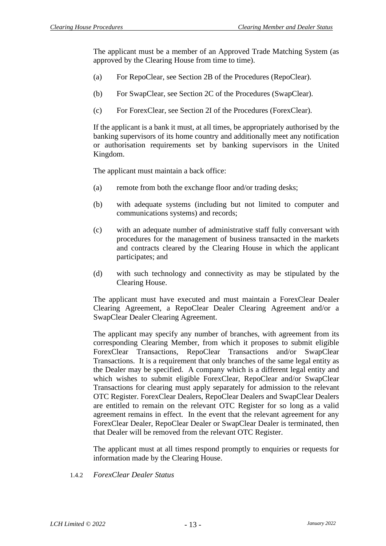The applicant must be a member of an Approved Trade Matching System (as approved by the Clearing House from time to time).

- (a) For RepoClear, see Section 2B of the Procedures (RepoClear).
- (b) For SwapClear, see Section 2C of the Procedures (SwapClear).
- (c) For ForexClear, see Section 2I of the Procedures (ForexClear).

If the applicant is a bank it must, at all times, be appropriately authorised by the banking supervisors of its home country and additionally meet any notification or authorisation requirements set by banking supervisors in the United Kingdom.

The applicant must maintain a back office:

- (a) remote from both the exchange floor and/or trading desks;
- (b) with adequate systems (including but not limited to computer and communications systems) and records;
- (c) with an adequate number of administrative staff fully conversant with procedures for the management of business transacted in the markets and contracts cleared by the Clearing House in which the applicant participates; and
- (d) with such technology and connectivity as may be stipulated by the Clearing House.

The applicant must have executed and must maintain a ForexClear Dealer Clearing Agreement, a RepoClear Dealer Clearing Agreement and/or a SwapClear Dealer Clearing Agreement.

The applicant may specify any number of branches, with agreement from its corresponding Clearing Member, from which it proposes to submit eligible ForexClear Transactions, RepoClear Transactions and/or SwapClear Transactions. It is a requirement that only branches of the same legal entity as the Dealer may be specified. A company which is a different legal entity and which wishes to submit eligible ForexClear, RepoClear and/or SwapClear Transactions for clearing must apply separately for admission to the relevant OTC Register. ForexClear Dealers, RepoClear Dealers and SwapClear Dealers are entitled to remain on the relevant OTC Register for so long as a valid agreement remains in effect. In the event that the relevant agreement for any ForexClear Dealer, RepoClear Dealer or SwapClear Dealer is terminated, then that Dealer will be removed from the relevant OTC Register.

The applicant must at all times respond promptly to enquiries or requests for information made by the Clearing House.

1.4.2 *ForexClear Dealer Status*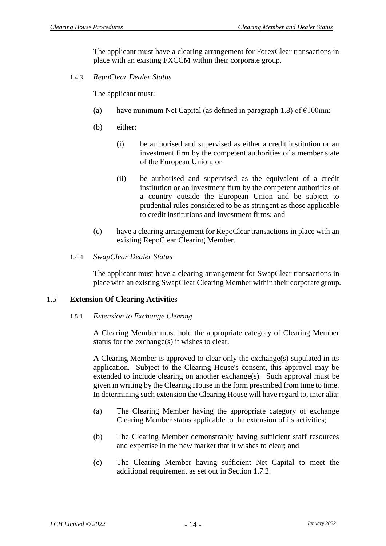The applicant must have a clearing arrangement for ForexClear transactions in place with an existing FXCCM within their corporate group.

1.4.3 *RepoClear Dealer Status*

The applicant must:

- (a) have minimum Net Capital (as defined in paragraph [1.8\)](#page-22-0) of  $\epsilon$ 100mn;
- (b) either:
	- (i) be authorised and supervised as either a credit institution or an investment firm by the competent authorities of a member state of the European Union; or
	- (ii) be authorised and supervised as the equivalent of a credit institution or an investment firm by the competent authorities of a country outside the European Union and be subject to prudential rules considered to be as stringent as those applicable to credit institutions and investment firms; and
- (c) have a clearing arrangement for RepoClear transactions in place with an existing RepoClear Clearing Member.
- 1.4.4 *SwapClear Dealer Status*

The applicant must have a clearing arrangement for SwapClear transactions in place with an existing SwapClear Clearing Member within their corporate group.

#### 1.5 **Extension Of Clearing Activities**

#### 1.5.1 *Extension to Exchange Clearing*

A Clearing Member must hold the appropriate category of Clearing Member status for the exchange(s) it wishes to clear.

A Clearing Member is approved to clear only the exchange(s) stipulated in its application. Subject to the Clearing House's consent, this approval may be extended to include clearing on another exchange(s). Such approval must be given in writing by the Clearing House in the form prescribed from time to time. In determining such extension the Clearing House will have regard to, inter alia:

- (a) The Clearing Member having the appropriate category of exchange Clearing Member status applicable to the extension of its activities;
- (b) The Clearing Member demonstrably having sufficient staff resources and expertise in the new market that it wishes to clear; and
- (c) The Clearing Member having sufficient Net Capital to meet the additional requirement as set out in Section [1.7.2.](#page-20-0)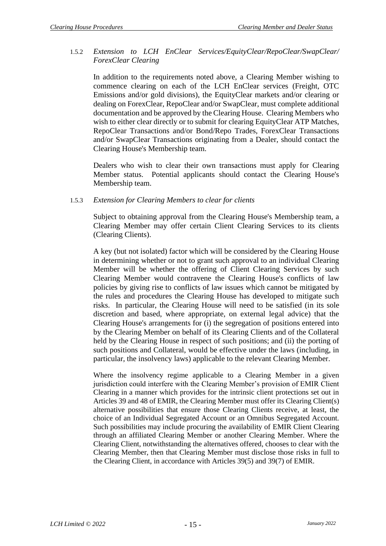#### 1.5.2 *Extension to LCH EnClear Services/EquityClear/RepoClear/SwapClear/ ForexClear Clearing*

In addition to the requirements noted above, a Clearing Member wishing to commence clearing on each of the LCH EnClear services (Freight, OTC Emissions and/or gold divisions), the EquityClear markets and/or clearing or dealing on ForexClear, RepoClear and/or SwapClear, must complete additional documentation and be approved by the Clearing House. Clearing Members who wish to either clear directly or to submit for clearing EquityClear ATP Matches, RepoClear Transactions and/or Bond/Repo Trades, ForexClear Transactions and/or SwapClear Transactions originating from a Dealer, should contact the Clearing House's Membership team.

Dealers who wish to clear their own transactions must apply for Clearing Member status. Potential applicants should contact the Clearing House's Membership team.

# 1.5.3 *Extension for Clearing Members to clear for clients*

Subject to obtaining approval from the Clearing House's Membership team, a Clearing Member may offer certain Client Clearing Services to its clients (Clearing Clients).

A key (but not isolated) factor which will be considered by the Clearing House in determining whether or not to grant such approval to an individual Clearing Member will be whether the offering of Client Clearing Services by such Clearing Member would contravene the Clearing House's conflicts of law policies by giving rise to conflicts of law issues which cannot be mitigated by the rules and procedures the Clearing House has developed to mitigate such risks. In particular, the Clearing House will need to be satisfied (in its sole discretion and based, where appropriate, on external legal advice) that the Clearing House's arrangements for (i) the segregation of positions entered into by the Clearing Member on behalf of its Clearing Clients and of the Collateral held by the Clearing House in respect of such positions; and (ii) the porting of such positions and Collateral, would be effective under the laws (including, in particular, the insolvency laws) applicable to the relevant Clearing Member.

Where the insolvency regime applicable to a Clearing Member in a given jurisdiction could interfere with the Clearing Member's provision of EMIR Client Clearing in a manner which provides for the intrinsic client protections set out in Articles 39 and 48 of EMIR, the Clearing Member must offer its Clearing Client(s) alternative possibilities that ensure those Clearing Clients receive, at least, the choice of an Individual Segregated Account or an Omnibus Segregated Account. Such possibilities may include procuring the availability of EMIR Client Clearing through an affiliated Clearing Member or another Clearing Member. Where the Clearing Client, notwithstanding the alternatives offered, chooses to clear with the Clearing Member, then that Clearing Member must disclose those risks in full to the Clearing Client, in accordance with Articles 39(5) and 39(7) of EMIR.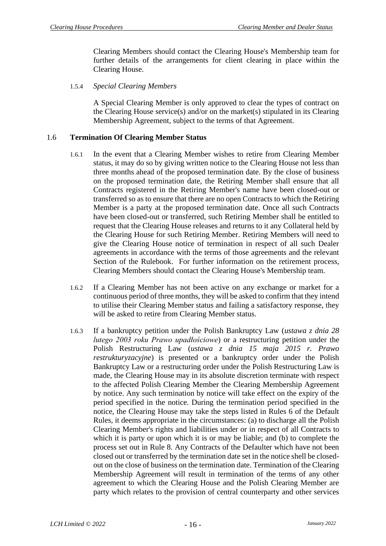Clearing Members should contact the Clearing House's Membership team for further details of the arrangements for client clearing in place within the Clearing House.

1.5.4 *Special Clearing Members* 

A Special Clearing Member is only approved to clear the types of contract on the Clearing House service(s) and/or on the market(s) stipulated in its Clearing Membership Agreement, subject to the terms of that Agreement.

#### 1.6 **Termination Of Clearing Member Status**

- 1.6.1 In the event that a Clearing Member wishes to retire from Clearing Member status, it may do so by giving written notice to the Clearing House not less than three months ahead of the proposed termination date. By the close of business on the proposed termination date, the Retiring Member shall ensure that all Contracts registered in the Retiring Member's name have been closed-out or transferred so as to ensure that there are no open Contracts to which the Retiring Member is a party at the proposed termination date. Once all such Contracts have been closed-out or transferred, such Retiring Member shall be entitled to request that the Clearing House releases and returns to it any Collateral held by the Clearing House for such Retiring Member. Retiring Members will need to give the Clearing House notice of termination in respect of all such Dealer agreements in accordance with the terms of those agreements and the relevant Section of the Rulebook. For further information on the retirement process, Clearing Members should contact the Clearing House's Membership team.
- 1.6.2 If a Clearing Member has not been active on any exchange or market for a continuous period of three months, they will be asked to confirm that they intend to utilise their Clearing Member status and failing a satisfactory response, they will be asked to retire from Clearing Member status.
- 1.6.3 If a bankruptcy petition under the Polish Bankruptcy Law (*ustawa z dnia 28 lutego 2003 roku Prawo upadłościowe*) or a restructuring petition under the Polish Restructuring Law (*ustawa z dnia 15 maja 2015 r. Prawo restrukturyzacyjne*) is presented or a bankruptcy order under the Polish Bankruptcy Law or a restructuring order under the Polish Restructuring Law is made, the Clearing House may in its absolute discretion terminate with respect to the affected Polish Clearing Member the Clearing Membership Agreement by notice. Any such termination by notice will take effect on the expiry of the period specified in the notice. During the termination period specified in the notice, the Clearing House may take the steps listed in Rules 6 of the Default Rules, it deems appropriate in the circumstances: (a) to discharge all the Polish Clearing Member's rights and liabilities under or in respect of all Contracts to which it is party or upon which it is or may be liable; and (b) to complete the process set out in Rule 8. Any Contracts of the Defaulter which have not been closed out or transferred by the termination date set in the notice shell be closedout on the close of business on the termination date. Termination of the Clearing Membership Agreement will result in termination of the terms of any other agreement to which the Clearing House and the Polish Clearing Member are party which relates to the provision of central counterparty and other services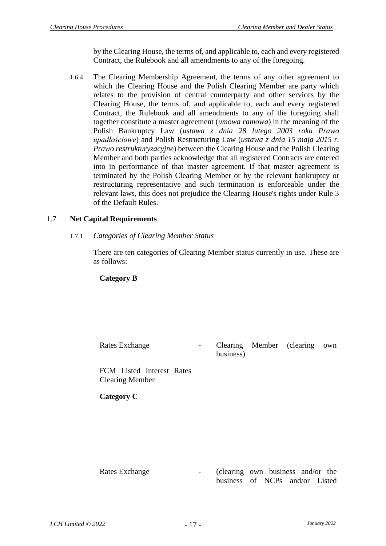by the Clearing House, the terms of, and applicable to, each and every registered Contract, the Rulebook and all amendments to any of the foregoing.

1.6.4 The Clearing Membership Agreement, the terms of any other agreement to which the Clearing House and the Polish Clearing Member are party which relates to the provision of central counterparty and other services by the Clearing House, the terms of, and applicable to, each and every registered Contract, the Rulebook and all amendments to any of the foregoing shall together constitute a master agreement (*umowa ramowa*) in the meaning of the Polish Bankruptcy Law (*ustawa z dnia 28 lutego 2003 roku Prawo upadłościowe*) and Polish Restructuring Law (*ustawa z dnia 15 maja 2015 r. Prawo restrukturyzacyjne*) between the Clearing House and the Polish Clearing Member and both parties acknowledge that all registered Contracts are entered into in performance of that master agreement. If that master agreement is terminated by the Polish Clearing Member or by the relevant bankruptcy or restructuring representative and such termination is enforceable under the relevant laws, this does not prejudice the Clearing House's rights under Rule 3 of the Default Rules.

# 1.7 **Net Capital Requirements**

1.7.1 *Categories of Clearing Member Status*

There are ten categories of Clearing Member status currently in use. These are as follows:

#### **Category B**

Rates Exchange The Clearing Member (clearing own business)

FCM Listed Interest Rates Clearing Member

**Category C**

Rates Exchange - (clearing own business and/or the business of NCPs and/or Listed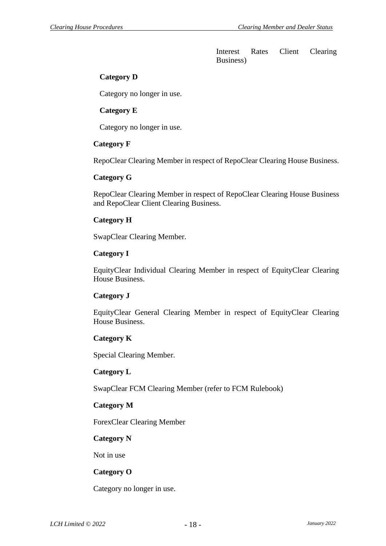Interest Rates Client Clearing Business)

# **Category D**

Category no longer in use.

# **Category E**

Category no longer in use.

# **Category F**

RepoClear Clearing Member in respect of RepoClear Clearing House Business.

#### **Category G**

RepoClear Clearing Member in respect of RepoClear Clearing House Business and RepoClear Client Clearing Business.

# **Category H**

SwapClear Clearing Member.

# **Category I**

EquityClear Individual Clearing Member in respect of EquityClear Clearing House Business.

# **Category J**

EquityClear General Clearing Member in respect of EquityClear Clearing House Business.

# **Category K**

Special Clearing Member.

# **Category L**

SwapClear FCM Clearing Member (refer to FCM Rulebook)

# **Category M**

ForexClear Clearing Member

# **Category N**

Not in use

# **Category O**

Category no longer in use.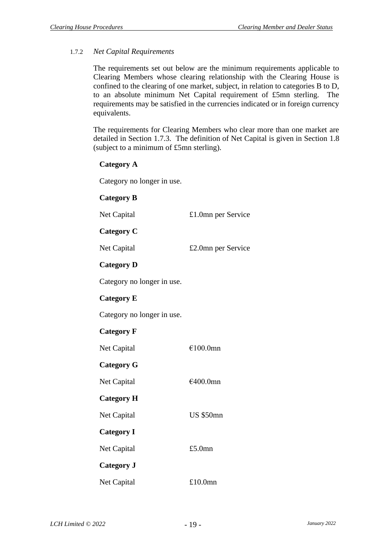# <span id="page-20-0"></span>1.7.2 *Net Capital Requirements*

The requirements set out below are the minimum requirements applicable to Clearing Members whose clearing relationship with the Clearing House is confined to the clearing of one market, subject, in relation to categories B to D, to an absolute minimum Net Capital requirement of £5mn sterling. The requirements may be satisfied in the currencies indicated or in foreign currency equivalents.

The requirements for Clearing Members who clear more than one market are detailed in Section [1.7.3.](#page-21-0) The definition of Net Capital is given in Section [1.8](#page-22-0) (subject to a minimum of £5mn sterling).

#### **Category A**

Category no longer in use.

# **Category B** Net Capital £1.0mn per Service **Category C** Net Capital  $£2.0$ mn per Service **Category D** Category no longer in use. **Category E** Category no longer in use. **Category F** Net Capital €100.0mn **Category G** Net Capital €400.0mn **Category H** Net Capital US \$50mn **Category I** Net Capital £5.0mn **Category J** Net Capital £10.0mn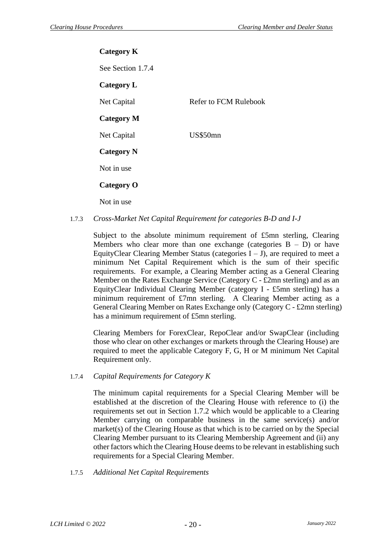**Category K** See Section [1.7.4](#page-21-1) **Category L** Net Capital Refer to FCM Rulebook **Category M** Net Capital US\$50mn **Category N** Not in use **Category O** Not in use

<span id="page-21-0"></span>1.7.3 *Cross-Market Net Capital Requirement for categories B-D and I-J* 

Subject to the absolute minimum requirement of £5mn sterling, Clearing Members who clear more than one exchange (categories  $B - D$ ) or have EquityClear Clearing Member Status (categories  $I - J$ ), are required to meet a minimum Net Capital Requirement which is the sum of their specific requirements. For example, a Clearing Member acting as a General Clearing Member on the Rates Exchange Service (Category C - £2mn sterling) and as an EquityClear Individual Clearing Member (category I - £5mn sterling) has a minimum requirement of £7mn sterling. A Clearing Member acting as a General Clearing Member on Rates Exchange only (Category C - £2mn sterling) has a minimum requirement of £5mn sterling.

Clearing Members for ForexClear, RepoClear and/or SwapClear (including those who clear on other exchanges or markets through the Clearing House) are required to meet the applicable Category F, G, H or M minimum Net Capital Requirement only.

<span id="page-21-1"></span>1.7.4 *Capital Requirements for Category K* 

The minimum capital requirements for a Special Clearing Member will be established at the discretion of the Clearing House with reference to (i) the requirements set out in Section [1.7.2](#page-20-0) which would be applicable to a Clearing Member carrying on comparable business in the same service(s) and/or market(s) of the Clearing House as that which is to be carried on by the Special Clearing Member pursuant to its Clearing Membership Agreement and (ii) any other factors which the Clearing House deems to be relevant in establishing such requirements for a Special Clearing Member.

1.7.5 *Additional Net Capital Requirements*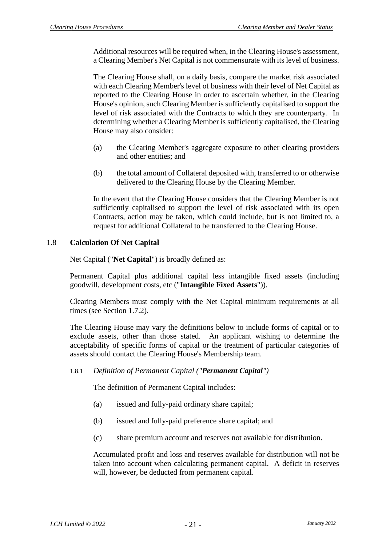Additional resources will be required when, in the Clearing House's assessment, a Clearing Member's Net Capital is not commensurate with its level of business.

The Clearing House shall, on a daily basis, compare the market risk associated with each Clearing Member's level of business with their level of Net Capital as reported to the Clearing House in order to ascertain whether, in the Clearing House's opinion, such Clearing Member is sufficiently capitalised to support the level of risk associated with the Contracts to which they are counterparty. In determining whether a Clearing Member is sufficiently capitalised, the Clearing House may also consider:

- (a) the Clearing Member's aggregate exposure to other clearing providers and other entities; and
- (b) the total amount of Collateral deposited with, transferred to or otherwise delivered to the Clearing House by the Clearing Member.

In the event that the Clearing House considers that the Clearing Member is not sufficiently capitalised to support the level of risk associated with its open Contracts, action may be taken, which could include, but is not limited to, a request for additional Collateral to be transferred to the Clearing House.

# <span id="page-22-0"></span>1.8 **Calculation Of Net Capital**

Net Capital ("**Net Capital**") is broadly defined as:

Permanent Capital plus additional capital less intangible fixed assets (including goodwill, development costs, etc ("**Intangible Fixed Assets**")).

Clearing Members must comply with the Net Capital minimum requirements at all times (see Section [1.7.2\)](#page-20-0).

The Clearing House may vary the definitions below to include forms of capital or to exclude assets, other than those stated. An applicant wishing to determine the acceptability of specific forms of capital or the treatment of particular categories of assets should contact the Clearing House's Membership team.

# 1.8.1 *Definition of Permanent Capital ("Permanent Capital")*

The definition of Permanent Capital includes:

- (a) issued and fully-paid ordinary share capital;
- (b) issued and fully-paid preference share capital; and
- (c) share premium account and reserves not available for distribution.

Accumulated profit and loss and reserves available for distribution will not be taken into account when calculating permanent capital. A deficit in reserves will, however, be deducted from permanent capital.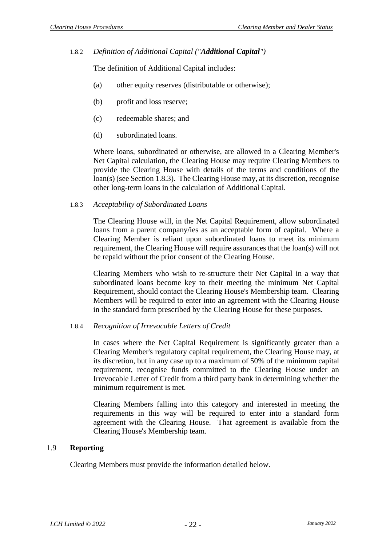#### 1.8.2 *Definition of Additional Capital ("Additional Capital")*

The definition of Additional Capital includes:

- (a) other equity reserves (distributable or otherwise);
- (b) profit and loss reserve;
- (c) redeemable shares; and
- (d) subordinated loans.

Where loans, subordinated or otherwise, are allowed in a Clearing Member's Net Capital calculation, the Clearing House may require Clearing Members to provide the Clearing House with details of the terms and conditions of the loan(s) (see Section [1.8.3\)](#page-23-0). The Clearing House may, at its discretion, recognise other long-term loans in the calculation of Additional Capital.

#### <span id="page-23-0"></span>1.8.3 *Acceptability of Subordinated Loans*

The Clearing House will, in the Net Capital Requirement, allow subordinated loans from a parent company/ies as an acceptable form of capital. Where a Clearing Member is reliant upon subordinated loans to meet its minimum requirement, the Clearing House will require assurances that the loan(s) will not be repaid without the prior consent of the Clearing House.

Clearing Members who wish to re-structure their Net Capital in a way that subordinated loans become key to their meeting the minimum Net Capital Requirement, should contact the Clearing House's Membership team. Clearing Members will be required to enter into an agreement with the Clearing House in the standard form prescribed by the Clearing House for these purposes.

#### 1.8.4 *Recognition of Irrevocable Letters of Credit*

In cases where the Net Capital Requirement is significantly greater than a Clearing Member's regulatory capital requirement, the Clearing House may, at its discretion, but in any case up to a maximum of 50% of the minimum capital requirement, recognise funds committed to the Clearing House under an Irrevocable Letter of Credit from a third party bank in determining whether the minimum requirement is met.

Clearing Members falling into this category and interested in meeting the requirements in this way will be required to enter into a standard form agreement with the Clearing House. That agreement is available from the Clearing House's Membership team.

#### 1.9 **Reporting**

Clearing Members must provide the information detailed below.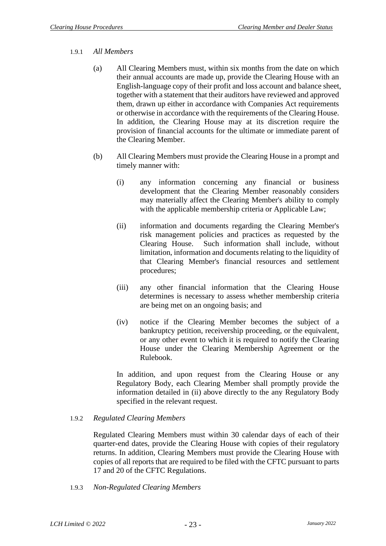#### 1.9.1 *All Members*

- (a) All Clearing Members must, within six months from the date on which their annual accounts are made up, provide the Clearing House with an English-language copy of their profit and loss account and balance sheet, together with a statement that their auditors have reviewed and approved them, drawn up either in accordance with Companies Act requirements or otherwise in accordance with the requirements of the Clearing House. In addition, the Clearing House may at its discretion require the provision of financial accounts for the ultimate or immediate parent of the Clearing Member.
- (b) All Clearing Members must provide the Clearing House in a prompt and timely manner with:
	- (i) any information concerning any financial or business development that the Clearing Member reasonably considers may materially affect the Clearing Member's ability to comply with the applicable membership criteria or Applicable Law;
	- (ii) information and documents regarding the Clearing Member's risk management policies and practices as requested by the Clearing House. Such information shall include, without limitation, information and documents relating to the liquidity of that Clearing Member's financial resources and settlement procedures;
	- (iii) any other financial information that the Clearing House determines is necessary to assess whether membership criteria are being met on an ongoing basis; and
	- (iv) notice if the Clearing Member becomes the subject of a bankruptcy petition, receivership proceeding, or the equivalent, or any other event to which it is required to notify the Clearing House under the Clearing Membership Agreement or the Rulebook.

In addition, and upon request from the Clearing House or any Regulatory Body, each Clearing Member shall promptly provide the information detailed in (ii) above directly to the any Regulatory Body specified in the relevant request.

# 1.9.2 *Regulated Clearing Members*

Regulated Clearing Members must within 30 calendar days of each of their quarter-end dates, provide the Clearing House with copies of their regulatory returns. In addition, Clearing Members must provide the Clearing House with copies of all reports that are required to be filed with the CFTC pursuant to parts 17 and 20 of the CFTC Regulations.

1.9.3 *Non-Regulated Clearing Members*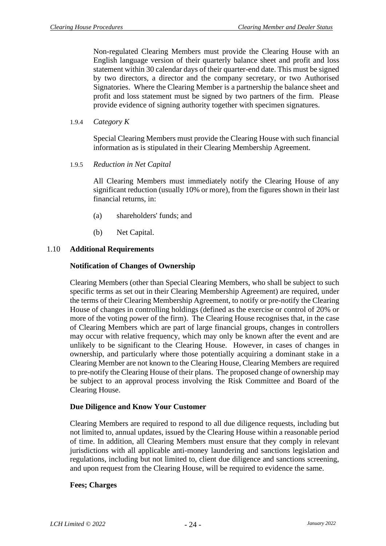Non-regulated Clearing Members must provide the Clearing House with an English language version of their quarterly balance sheet and profit and loss statement within 30 calendar days of their quarter-end date. This must be signed by two directors, a director and the company secretary, or two Authorised Signatories. Where the Clearing Member is a partnership the balance sheet and profit and loss statement must be signed by two partners of the firm. Please provide evidence of signing authority together with specimen signatures.

1.9.4 *Category K*

Special Clearing Members must provide the Clearing House with such financial information as is stipulated in their Clearing Membership Agreement.

1.9.5 *Reduction in Net Capital* 

All Clearing Members must immediately notify the Clearing House of any significant reduction (usually 10% or more), from the figures shown in their last financial returns, in:

- (a) shareholders' funds; and
- (b) Net Capital.

#### 1.10 **Additional Requirements**

#### **Notification of Changes of Ownership**

Clearing Members (other than Special Clearing Members, who shall be subject to such specific terms as set out in their Clearing Membership Agreement) are required, under the terms of their Clearing Membership Agreement, to notify or pre-notify the Clearing House of changes in controlling holdings (defined as the exercise or control of 20% or more of the voting power of the firm). The Clearing House recognises that, in the case of Clearing Members which are part of large financial groups, changes in controllers may occur with relative frequency, which may only be known after the event and are unlikely to be significant to the Clearing House. However, in cases of changes in ownership, and particularly where those potentially acquiring a dominant stake in a Clearing Member are not known to the Clearing House, Clearing Members are required to pre-notify the Clearing House of their plans. The proposed change of ownership may be subject to an approval process involving the Risk Committee and Board of the Clearing House.

#### **Due Diligence and Know Your Customer**

Clearing Members are required to respond to all due diligence requests, including but not limited to, annual updates, issued by the Clearing House within a reasonable period of time. In addition, all Clearing Members must ensure that they comply in relevant jurisdictions with all applicable anti-money laundering and sanctions legislation and regulations, including but not limited to, client due diligence and sanctions screening, and upon request from the Clearing House, will be required to evidence the same.

#### **Fees; Charges**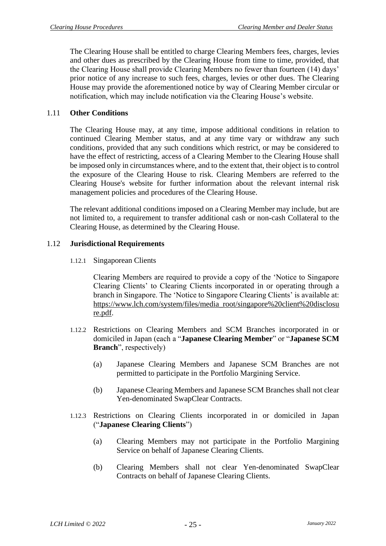The Clearing House shall be entitled to charge Clearing Members fees, charges, levies and other dues as prescribed by the Clearing House from time to time, provided, that the Clearing House shall provide Clearing Members no fewer than fourteen (14) days' prior notice of any increase to such fees, charges, levies or other dues. The Clearing House may provide the aforementioned notice by way of Clearing Member circular or notification, which may include notification via the Clearing House's website.

# 1.11 **Other Conditions**

The Clearing House may, at any time, impose additional conditions in relation to continued Clearing Member status, and at any time vary or withdraw any such conditions, provided that any such conditions which restrict, or may be considered to have the effect of restricting, access of a Clearing Member to the Clearing House shall be imposed only in circumstances where, and to the extent that, their object is to control the exposure of the Clearing House to risk. Clearing Members are referred to the Clearing House's website for further information about the relevant internal risk management policies and procedures of the Clearing House.

The relevant additional conditions imposed on a Clearing Member may include, but are not limited to, a requirement to transfer additional cash or non-cash Collateral to the Clearing House, as determined by the Clearing House.

# 1.12 **Jurisdictional Requirements**

1.12.1 Singaporean Clients

Clearing Members are required to provide a copy of the 'Notice to Singapore Clearing Clients' to Clearing Clients incorporated in or operating through a branch in Singapore. The 'Notice to Singapore Clearing Clients' is available at: [https://www.lch.com/system/files/media\\_root/singapore%20client%20disclosu](https://www.lch.com/system/files/media_root/singapore%20client%20disclosure.pdf) [re.pdf.](https://www.lch.com/system/files/media_root/singapore%20client%20disclosure.pdf)

- 1.12.2 Restrictions on Clearing Members and SCM Branches incorporated in or domiciled in Japan (each a "**Japanese Clearing Member**" or "**Japanese SCM Branch**", respectively)
	- (a) Japanese Clearing Members and Japanese SCM Branches are not permitted to participate in the Portfolio Margining Service.
	- (b) Japanese Clearing Members and Japanese SCM Branches shall not clear Yen-denominated SwapClear Contracts.
- 1.12.3 Restrictions on Clearing Clients incorporated in or domiciled in Japan ("**Japanese Clearing Clients**")
	- (a) Clearing Members may not participate in the Portfolio Margining Service on behalf of Japanese Clearing Clients.
	- (b) Clearing Members shall not clear Yen-denominated SwapClear Contracts on behalf of Japanese Clearing Clients.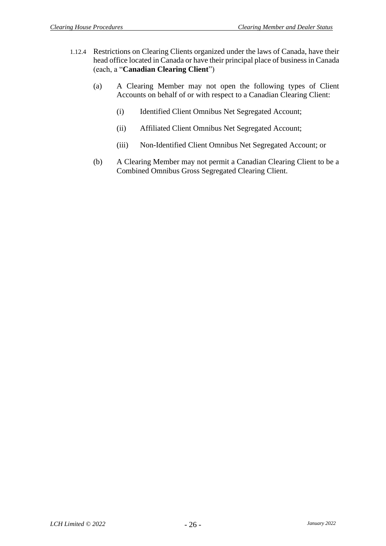- 1.12.4 Restrictions on Clearing Clients organized under the laws of Canada, have their head office located in Canada or have their principal place of business in Canada (each, a "**Canadian Clearing Client**")
	- (a) A Clearing Member may not open the following types of Client Accounts on behalf of or with respect to a Canadian Clearing Client:
		- (i) Identified Client Omnibus Net Segregated Account;
		- (ii) Affiliated Client Omnibus Net Segregated Account;
		- (iii) Non-Identified Client Omnibus Net Segregated Account; or
	- (b) A Clearing Member may not permit a Canadian Clearing Client to be a Combined Omnibus Gross Segregated Clearing Client.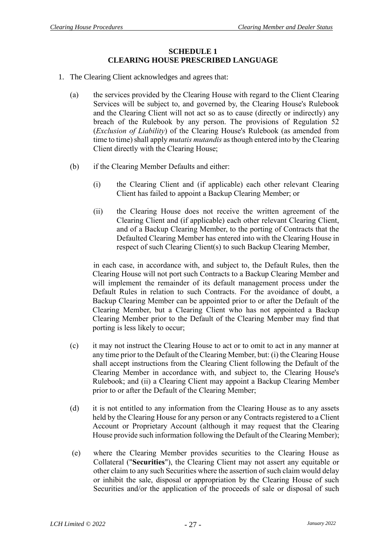#### **SCHEDULE 1 CLEARING HOUSE PRESCRIBED LANGUAGE**

- <span id="page-28-0"></span>1. The Clearing Client acknowledges and agrees that:
	- (a) the services provided by the Clearing House with regard to the Client Clearing Services will be subject to, and governed by, the Clearing House's Rulebook and the Clearing Client will not act so as to cause (directly or indirectly) any breach of the Rulebook by any person. The provisions of Regulation 52 (*Exclusion of Liability*) of the Clearing House's Rulebook (as amended from time to time) shall apply *mutatis mutandis* as though entered into by the Clearing Client directly with the Clearing House;
	- (b) if the Clearing Member Defaults and either:
		- (i) the Clearing Client and (if applicable) each other relevant Clearing Client has failed to appoint a Backup Clearing Member; or
		- (ii) the Clearing House does not receive the written agreement of the Clearing Client and (if applicable) each other relevant Clearing Client, and of a Backup Clearing Member, to the porting of Contracts that the Defaulted Clearing Member has entered into with the Clearing House in respect of such Clearing Client(s) to such Backup Clearing Member,

in each case, in accordance with, and subject to, the Default Rules, then the Clearing House will not port such Contracts to a Backup Clearing Member and will implement the remainder of its default management process under the Default Rules in relation to such Contracts. For the avoidance of doubt, a Backup Clearing Member can be appointed prior to or after the Default of the Clearing Member, but a Clearing Client who has not appointed a Backup Clearing Member prior to the Default of the Clearing Member may find that porting is less likely to occur;

- (c) it may not instruct the Clearing House to act or to omit to act in any manner at any time prior to the Default of the Clearing Member, but: (i) the Clearing House shall accept instructions from the Clearing Client following the Default of the Clearing Member in accordance with, and subject to, the Clearing House's Rulebook; and (ii) a Clearing Client may appoint a Backup Clearing Member prior to or after the Default of the Clearing Member;
- (d) it is not entitled to any information from the Clearing House as to any assets held by the Clearing House for any person or any Contracts registered to a Client Account or Proprietary Account (although it may request that the Clearing House provide such information following the Default of the Clearing Member);
- (e) where the Clearing Member provides securities to the Clearing House as Collateral ("**Securities**"), the Clearing Client may not assert any equitable or other claim to any such Securities where the assertion of such claim would delay or inhibit the sale, disposal or appropriation by the Clearing House of such Securities and/or the application of the proceeds of sale or disposal of such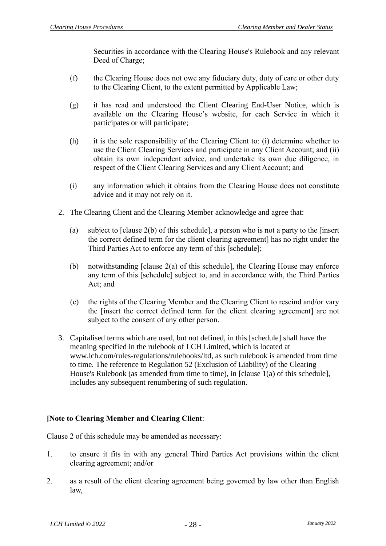Securities in accordance with the Clearing House's Rulebook and any relevant Deed of Charge;

- (f) the Clearing House does not owe any fiduciary duty, duty of care or other duty to the Clearing Client, to the extent permitted by Applicable Law;
- (g) it has read and understood the Client Clearing End-User Notice, which is available on the Clearing House's website, for each Service in which it participates or will participate;
- (h) it is the sole responsibility of the Clearing Client to: (i) determine whether to use the Client Clearing Services and participate in any Client Account; and (ii) obtain its own independent advice, and undertake its own due diligence, in respect of the Client Clearing Services and any Client Account; and
- (i) any information which it obtains from the Clearing House does not constitute advice and it may not rely on it.
- 2. The Clearing Client and the Clearing Member acknowledge and agree that:
	- (a) subject to [clause 2(b) of this schedule], a person who is not a party to the [insert the correct defined term for the client clearing agreement] has no right under the Third Parties Act to enforce any term of this [schedule];
	- (b) notwithstanding [clause 2(a) of this schedule], the Clearing House may enforce any term of this [schedule] subject to, and in accordance with, the Third Parties Act; and
	- (c) the rights of the Clearing Member and the Clearing Client to rescind and/or vary the [insert the correct defined term for the client clearing agreement] are not subject to the consent of any other person.
- 3. Capitalised terms which are used, but not defined, in this [schedule] shall have the meaning specified in the rulebook of LCH Limited, which is located at [www.lch.com/rules-regulations/rulebooks/ltd,](http://www.lch.com/rules-regulations/rulebooks/ltd) as such rulebook is amended from time to time. The reference to Regulation 52 (Exclusion of Liability) of the Clearing House's Rulebook (as amended from time to time), in [clause 1(a) of this schedule], includes any subsequent renumbering of such regulation.

# **[Note to Clearing Member and Clearing Client**:

Clause 2 of this schedule may be amended as necessary:

- 1. to ensure it fits in with any general Third Parties Act provisions within the client clearing agreement; and/or
- 2. as a result of the client clearing agreement being governed by law other than English law,